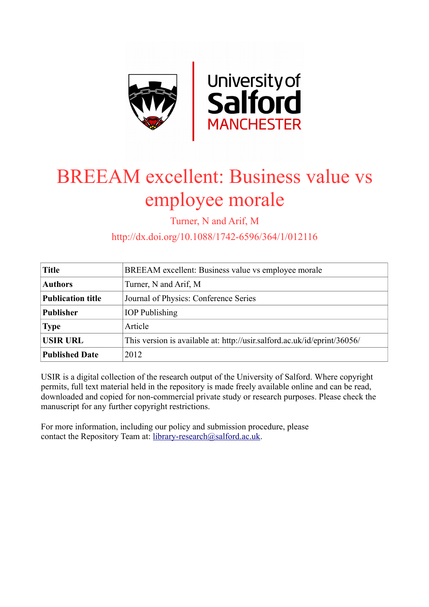

# BREEAM excellent: Business value vs employee morale

Turner, N and Arif, M

http://dx.doi.org/10.1088/1742-6596/364/1/012116

| <b>Title</b>             | BREEAM excellent: Business value vs employee morale                      |
|--------------------------|--------------------------------------------------------------------------|
| <b>Authors</b>           | Turner, N and Arif, M                                                    |
| <b>Publication title</b> | Journal of Physics: Conference Series                                    |
| <b>Publisher</b>         | <b>IOP</b> Publishing                                                    |
| <b>Type</b>              | Article                                                                  |
| <b>USIR URL</b>          | This version is available at: http://usir.salford.ac.uk/id/eprint/36056/ |
| <b>Published Date</b>    | 2012                                                                     |

USIR is a digital collection of the research output of the University of Salford. Where copyright permits, full text material held in the repository is made freely available online and can be read, downloaded and copied for non-commercial private study or research purposes. Please check the manuscript for any further copyright restrictions.

For more information, including our policy and submission procedure, please contact the Repository Team at: [library-research@salford.ac.uk.](mailto:library-research@salford.ac.uk)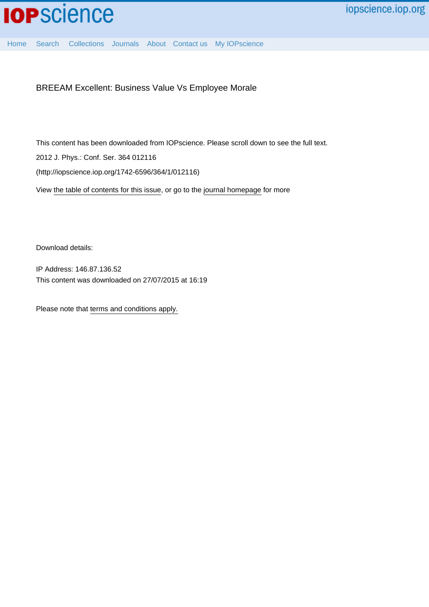

[Home](http://iopscience.iop.org/) [Search](http://iopscience.iop.org/search) [Collections](http://iopscience.iop.org/collections) [Journals](http://iopscience.iop.org/journals) [About](http://iopscience.iop.org/page/aboutioppublishing) [Contact us](http://iopscience.iop.org/contact) [My IOPscience](http://iopscience.iop.org/myiopscience)

BREEAM Excellent: Business Value Vs Employee Morale

This content has been downloaded from IOPscience. Please scroll down to see the full text. 2012 J. Phys.: Conf. Ser. 364 012116 (http://iopscience.iop.org/1742-6596/364/1/012116)

View [the table of contents for this issue](http://iopscience.iop.org/1742-6596/364/1), or go to the [journal homepage](http://iopscience.iop.org/1742-6596) for more

Download details:

IP Address: 146.87.136.52 This content was downloaded on 27/07/2015 at 16:19

Please note that [terms and conditions apply.](iopscience.iop.org/page/terms)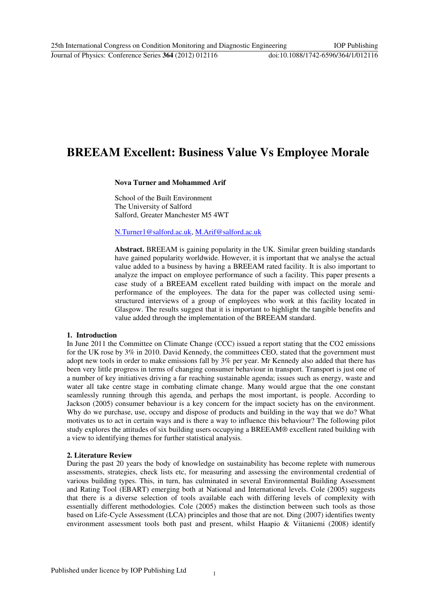# **BREEAM Excellent: Business Value Vs Employee Morale**

# **Nova Turner and Mohammed Arif**

School of the Built Environment The University of Salford Salford, Greater Manchester M5 4WT

#### N.Turner1@salford.ac.uk, M.Arif@salford.ac.uk

**Abstract.** BREEAM is gaining popularity in the UK. Similar green building standards have gained popularity worldwide. However, it is important that we analyse the actual value added to a business by having a BREEAM rated facility. It is also important to analyze the impact on employee performance of such a facility. This paper presents a case study of a BREEAM excellent rated building with impact on the morale and performance of the employees. The data for the paper was collected using semistructured interviews of a group of employees who work at this facility located in Glasgow. The results suggest that it is important to highlight the tangible benefits and value added through the implementation of the BREEAM standard.

#### **1. Introduction**

In June 2011 the Committee on Climate Change (CCC) issued a report stating that the CO2 emissions for the UK rose by 3% in 2010. David Kennedy, the committees CEO, stated that the government must adopt new tools in order to make emissions fall by 3% per year. Mr Kennedy also added that there has been very little progress in terms of changing consumer behaviour in transport. Transport is just one of a number of key initiatives driving a far reaching sustainable agenda; issues such as energy, waste and water all take centre stage in combating climate change. Many would argue that the one constant seamlessly running through this agenda, and perhaps the most important, is people. According to Jackson (2005) consumer behaviour is a key concern for the impact society has on the environment. Why do we purchase, use, occupy and dispose of products and building in the way that we do? What motivates us to act in certain ways and is there a way to influence this behaviour? The following pilot study explores the attitudes of six building users occupying a BREEAM® excellent rated building with a view to identifying themes for further statistical analysis.

#### **2. Literature Review**

During the past 20 years the body of knowledge on sustainability has become replete with numerous assessments, strategies, check lists etc, for measuring and assessing the environmental credential of various building types. This, in turn, has culminated in several Environmental Building Assessment and Rating Tool (EBART) emerging both at National and International levels. Cole (2005) suggests that there is a diverse selection of tools available each with differing levels of complexity with essentially different methodologies. Cole (2005) makes the distinction between such tools as those based on Life-Cycle Assessment (LCA) principles and those that are not. Ding (2007) identifies twenty environment assessment tools both past and present, whilst Haapio & Viitaniemi (2008) identify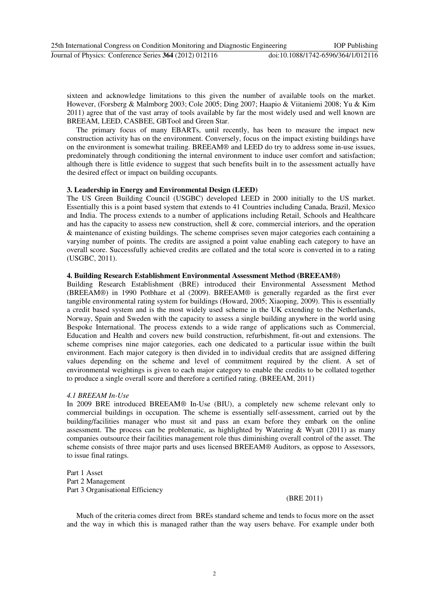sixteen and acknowledge limitations to this given the number of available tools on the market. However, (Forsberg & Malmborg 2003; Cole 2005; Ding 2007; Haapio & Viitaniemi 2008; Yu & Kim 2011) agree that of the vast array of tools available by far the most widely used and well known are BREEAM, LEED, CASBEE, GBTool and Green Star.

The primary focus of many EBARTs, until recently, has been to measure the impact new construction activity has on the environment. Conversely, focus on the impact existing buildings have on the environment is somewhat trailing. BREEAM® and LEED do try to address some in-use issues, predominately through conditioning the internal environment to induce user comfort and satisfaction; although there is little evidence to suggest that such benefits built in to the assessment actually have the desired effect or impact on building occupants.

# **3. Leadership in Energy and Environmental Design (LEED)**

The US Green Building Council (USGBC) developed LEED in 2000 initially to the US market. Essentially this is a point based system that extends to 41 Countries including Canada, Brazil, Mexico and India. The process extends to a number of applications including Retail, Schools and Healthcare and has the capacity to assess new construction, shell  $\&$  core, commercial interiors, and the operation & maintenance of existing buildings. The scheme comprises seven major categories each containing a varying number of points. The credits are assigned a point value enabling each category to have an overall score. Successfully achieved credits are collated and the total score is converted in to a rating (USGBC, 2011).

#### **4. Building Research Establishment Environmental Assessment Method (BREEAM®)**

Building Research Establishment (BRE) introduced their Environmental Assessment Method (BREEAM®) in 1990 Potbhare et al (2009). BREEAM® is generally regarded as the first ever tangible environmental rating system for buildings (Howard, 2005; Xiaoping, 2009). This is essentially a credit based system and is the most widely used scheme in the UK extending to the Netherlands, Norway, Spain and Sweden with the capacity to assess a single building anywhere in the world using Bespoke International. The process extends to a wide range of applications such as Commercial, Education and Health and covers new build construction, refurbishment, fit-out and extensions. The scheme comprises nine major categories, each one dedicated to a particular issue within the built environment. Each major category is then divided in to individual credits that are assigned differing values depending on the scheme and level of commitment required by the client. A set of environmental weightings is given to each major category to enable the credits to be collated together to produce a single overall score and therefore a certified rating. (BREEAM, 2011)

# *4.1 BREEAM In-Use*

In 2009 BRE introduced BREEAM® In-Use (BIU), a completely new scheme relevant only to commercial buildings in occupation. The scheme is essentially self-assessment, carried out by the building/facilities manager who must sit and pass an exam before they embark on the online assessment. The process can be problematic, as highlighted by Watering & Wyatt (2011) as many companies outsource their facilities management role thus diminishing overall control of the asset. The scheme consists of three major parts and uses licensed BREEAM® Auditors, as oppose to Assessors, to issue final ratings.

Part 1 Asset Part 2 Management Part 3 Organisational Efficiency

#### (BRE 2011)

Much of the criteria comes direct from BREs standard scheme and tends to focus more on the asset and the way in which this is managed rather than the way users behave. For example under both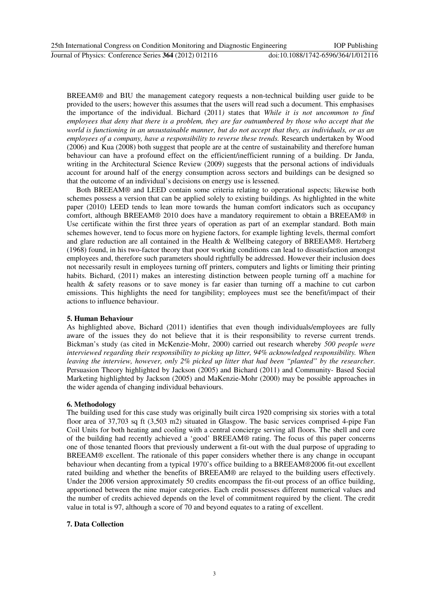BREEAM® and BIU the management category requests a non-technical building user guide to be provided to the users; however this assumes that the users will read such a document. This emphasises the importance of the individual. Bichard (2011*)* states that *While it is not uncommon to find employees that deny that there is a problem, they are far outnumbered by those who accept that the world is functioning in an unsustainable manner, but do not accept that they, as individuals, or as an employees of a company, have a responsibility to reverse these trends.* Research undertaken by Wood (2006) and Kua (2008) both suggest that people are at the centre of sustainability and therefore human behaviour can have a profound effect on the efficient/inefficient running of a building. Dr Janda, writing in the Architectural Science Review (2009) suggests that the personal actions of individuals account for around half of the energy consumption across sectors and buildings can be designed so that the outcome of an individual's decisions on energy use is lessened.

Both BREEAM® and LEED contain some criteria relating to operational aspects; likewise both schemes possess a version that can be applied solely to existing buildings. As highlighted in the white paper (2010) LEED tends to lean more towards the human comfort indicators such as occupancy comfort, although BREEAM® 2010 does have a mandatory requirement to obtain a BREEAM® in Use certificate within the first three years of operation as part of an exemplar standard. Both main schemes however, tend to focus more on hygiene factors, for example lighting levels, thermal comfort and glare reduction are all contained in the Health & Wellbeing category of BREEAM®. Hertzberg (1968) found, in his two-factor theory that poor working conditions can lead to dissatisfaction amongst employees and, therefore such parameters should rightfully be addressed. However their inclusion does not necessarily result in employees turning off printers, computers and lights or limiting their printing habits. Bichard, (2011) makes an interesting distinction between people turning off a machine for health & safety reasons or to save money is far easier than turning off a machine to cut carbon emissions. This highlights the need for tangibility; employees must see the benefit/impact of their actions to influence behaviour.

# **5. Human Behaviour**

As highlighted above, Bichard (2011) identifies that even though individuals/employees are fully aware of the issues they do not believe that it is their responsibility to reverse current trends. Bickman's study (as cited in McKenzie-Mohr, 2000) carried out research whereby *500 people were interviewed regarding their responsibility to picking up litter, 94% acknowledged responsibility. When leaving the interview, however, only 2% picked up litter that had been "planted" by the researcher*. Persuasion Theory highlighted by Jackson (2005) and Bichard (2011) and Community- Based Social Marketing highlighted by Jackson (2005) and MaKenzie-Mohr (2000) may be possible approaches in the wider agenda of changing individual behaviours.

# **6. Methodology**

The building used for this case study was originally built circa 1920 comprising six stories with a total floor area of 37,703 sq ft (3,503 m2) situated in Glasgow. The basic services comprised 4-pipe Fan Coil Units for both heating and cooling with a central concierge serving all floors. The shell and core of the building had recently achieved a 'good' BREEAM® rating. The focus of this paper concerns one of those tenanted floors that previously underwent a fit-out with the dual purpose of upgrading to BREEAM® excellent. The rationale of this paper considers whether there is any change in occupant behaviour when decanting from a typical 1970's office building to a BREEAM®2006 fit-out excellent rated building and whether the benefits of BREEAM® are relayed to the building users effectively. Under the 2006 version approximately 50 credits encompass the fit-out process of an office building, apportioned between the nine major categories. Each credit possesses different numerical values and the number of credits achieved depends on the level of commitment required by the client. The credit value in total is 97, although a score of 70 and beyond equates to a rating of excellent.

# **7. Data Collection**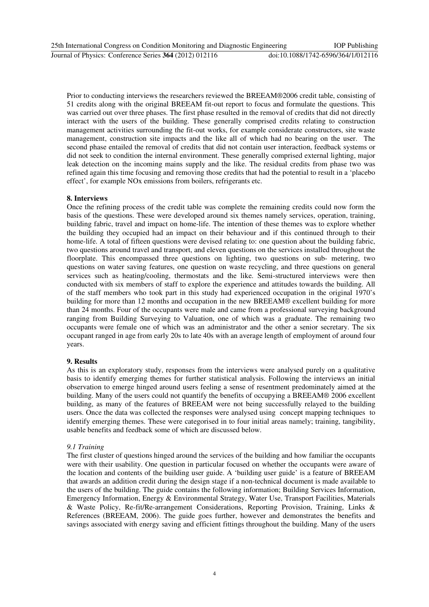Prior to conducting interviews the researchers reviewed the BREEAM®2006 credit table, consisting of 51 credits along with the original BREEAM fit-out report to focus and formulate the questions. This was carried out over three phases. The first phase resulted in the removal of credits that did not directly interact with the users of the building. These generally comprised credits relating to construction management activities surrounding the fit-out works, for example considerate constructors, site waste management, construction site impacts and the like all of which had no bearing on the user. The second phase entailed the removal of credits that did not contain user interaction, feedback systems or did not seek to condition the internal environment. These generally comprised external lighting, major leak detection on the incoming mains supply and the like. The residual credits from phase two was refined again this time focusing and removing those credits that had the potential to result in a 'placebo effect', for example NOx emissions from boilers, refrigerants etc.

# **8. Interviews**

Once the refining process of the credit table was complete the remaining credits could now form the basis of the questions. These were developed around six themes namely services, operation, training, building fabric, travel and impact on home-life. The intention of these themes was to explore whether the building they occupied had an impact on their behaviour and if this continued through to their home-life. A total of fifteen questions were devised relating to: one question about the building fabric, two questions around travel and transport, and eleven questions on the services installed throughout the floorplate. This encompassed three questions on lighting, two questions on sub- metering, two questions on water saving features, one question on waste recycling, and three questions on general services such as heating/cooling, thermostats and the like. Semi-structured interviews were then conducted with six members of staff to explore the experience and attitudes towards the building. All of the staff members who took part in this study had experienced occupation in the original 1970's building for more than 12 months and occupation in the new BREEAM® excellent building for more than 24 months. Four of the occupants were male and came from a professional surveying background ranging from Building Surveying to Valuation, one of which was a graduate. The remaining two occupants were female one of which was an administrator and the other a senior secretary. The six occupant ranged in age from early 20s to late 40s with an average length of employment of around four years.

# **9. Results**

As this is an exploratory study, responses from the interviews were analysed purely on a qualitative basis to identify emerging themes for further statistical analysis. Following the interviews an initial observation to emerge hinged around users feeling a sense of resentment predominately aimed at the building. Many of the users could not quantify the benefits of occupying a BREEAM® 2006 excellent building, as many of the features of BREEAM were not being successfully relayed to the building users. Once the data was collected the responses were analysed using concept mapping techniques to identify emerging themes. These were categorised in to four initial areas namely; training, tangibility, usable benefits and feedback some of which are discussed below.

# *9.1 Training*

The first cluster of questions hinged around the services of the building and how familiar the occupants were with their usability. One question in particular focused on whether the occupants were aware of the location and contents of the building user guide. A 'building user guide' is a feature of BREEAM that awards an addition credit during the design stage if a non-technical document is made available to the users of the building. The guide contains the following information; Building Services Information, Emergency Information, Energy & Environmental Strategy, Water Use, Transport Facilities, Materials & Waste Policy, Re-fit/Re-arrangement Considerations, Reporting Provision, Training, Links & References (BREEAM, 2006). The guide goes further, however and demonstrates the benefits and savings associated with energy saving and efficient fittings throughout the building. Many of the users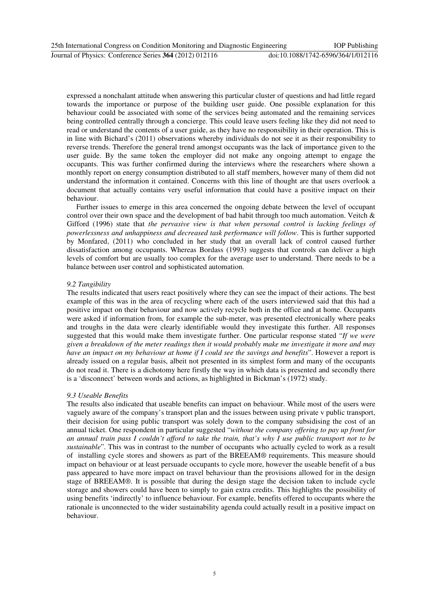expressed a nonchalant attitude when answering this particular cluster of questions and had little regard towards the importance or purpose of the building user guide. One possible explanation for this behaviour could be associated with some of the services being automated and the remaining services being controlled centrally through a concierge. This could leave users feeling like they did not need to read or understand the contents of a user guide, as they have no responsibility in their operation. This is in line with Bichard's (2011) observations whereby individuals do not see it as their responsibility to reverse trends. Therefore the general trend amongst occupants was the lack of importance given to the user guide. By the same token the employer did not make any ongoing attempt to engage the occupants. This was further confirmed during the interviews where the researchers where shown a monthly report on energy consumption distributed to all staff members, however many of them did not understand the information it contained. Concerns with this line of thought are that users overlook a document that actually contains very useful information that could have a positive impact on their behaviour.

Further issues to emerge in this area concerned the ongoing debate between the level of occupant control over their own space and the development of bad habit through too much automation. Veitch  $\&$ Gifford (1996) state that *the pervasive view is that when personal control is lacking feelings of powerlessness and unhappiness and decreased task performance will follow*. This is further supported by Monfared, (2011) who concluded in her study that an overall lack of control caused further dissatisfaction among occupants. Whereas Bordass (1993) suggests that controls can deliver a high levels of comfort but are usually too complex for the average user to understand. There needs to be a balance between user control and sophisticated automation.

# *9.2 Tangibility*

The results indicated that users react positively where they can see the impact of their actions. The best example of this was in the area of recycling where each of the users interviewed said that this had a positive impact on their behaviour and now actively recycle both in the office and at home. Occupants were asked if information from, for example the sub-meter, was presented electronically where peaks and troughs in the data were clearly identifiable would they investigate this further. All responses suggested that this would make them investigate further. One particular response stated "*If we were given a breakdown of the meter readings then it would probably make me investigate it more and may have an impact on my behaviour at home if I could see the savings and benefits*". However a report is already issued on a regular basis, albeit not presented in its simplest form and many of the occupants do not read it. There is a dichotomy here firstly the way in which data is presented and secondly there is a 'disconnect' between words and actions, as highlighted in Bickman's (1972) study.

# *9.3 Useable Benefits*

The results also indicated that useable benefits can impact on behaviour. While most of the users were vaguely aware of the company's transport plan and the issues between using private v public transport, their decision for using public transport was solely down to the company subsidising the cost of an annual ticket. One respondent in particular suggested "*without the company offering to pay up front for an annual train pass I couldn't afford to take the train, that's why I use public transport not to be sustainable*". This was in contrast to the number of occupants who actually cycled to work as a result of installing cycle stores and showers as part of the BREEAM® requirements. This measure should impact on behaviour or at least persuade occupants to cycle more, however the useable benefit of a bus pass appeared to have more impact on travel behaviour than the provisions allowed for in the design stage of BREEAM®. It is possible that during the design stage the decision taken to include cycle storage and showers could have been to simply to gain extra credits. This highlights the possibility of using benefits 'indirectly' to influence behaviour. For example, benefits offered to occupants where the rationale is unconnected to the wider sustainability agenda could actually result in a positive impact on behaviour.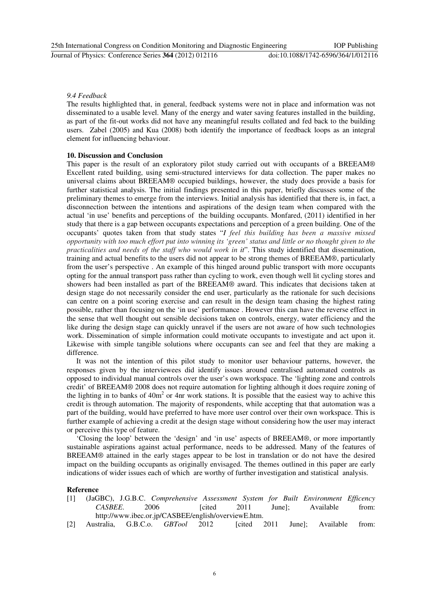#### *9.4 Feedback*

The results highlighted that, in general, feedback systems were not in place and information was not disseminated to a usable level. Many of the energy and water saving features installed in the building, as part of the fit-out works did not have any meaningful results collated and fed back to the building users. Zabel (2005) and Kua (2008) both identify the importance of feedback loops as an integral element for influencing behaviour.

#### **10. Discussion and Conclusion**

This paper is the result of an exploratory pilot study carried out with occupants of a BREEAM® Excellent rated building, using semi-structured interviews for data collection. The paper makes no universal claims about BREEAM® occupied buildings, however, the study does provide a basis for further statistical analysis. The initial findings presented in this paper, briefly discusses some of the preliminary themes to emerge from the interviews. Initial analysis has identified that there is, in fact, a disconnection between the intentions and aspirations of the design team when compared with the actual 'in use' benefits and perceptions of the building occupants. Monfared, (2011) identified in her study that there is a gap between occupants expectations and perception of a green building. One of the occupants' quotes taken from that study states "*I feel this building has been a massive missed opportunity with too much effort put into winning its 'green' status and little or no thought given to the practicalities and needs of the staff who would work in it*". This study identified that dissemination, training and actual benefits to the users did not appear to be strong themes of BREEAM®, particularly from the user's perspective . An example of this hinged around public transport with more occupants opting for the annual transport pass rather than cycling to work, even though well lit cycling stores and showers had been installed as part of the BREEAM® award. This indicates that decisions taken at design stage do not necessarily consider the end user, particularly as the rationale for such decisions can centre on a point scoring exercise and can result in the design team chasing the highest rating possible, rather than focusing on the 'in use' performance . However this can have the reverse effect in the sense that well thought out sensible decisions taken on controls, energy, water efficiency and the like during the design stage can quickly unravel if the users are not aware of how such technologies work. Dissemination of simple information could motivate occupants to investigate and act upon it. Likewise with simple tangible solutions where occupants can see and feel that they are making a difference.

It was not the intention of this pilot study to monitor user behaviour patterns, however, the responses given by the interviewees did identify issues around centralised automated controls as opposed to individual manual controls over the user's own workspace. The 'lighting zone and controls credit' of BREEAM® 2008 does not require automation for lighting although it does require zoning of the lighting in to banks of  $40m^2$  or  $4nr$  work stations. It is possible that the easiest way to achive this credit is through automation. The majority of respondents, while accepting that that automation was a part of the building, would have preferred to have more user control over their own workspace. This is further example of achieving a credit at the design stage without considering how the user may interact or perceive this type of feature.

'Closing the loop' between the 'design' and 'in use' aspects of BREEAM®, or more importantly sustainable aspirations against actual performance, needs to be addressed. Many of the features of BREEAM® attained in the early stages appear to be lost in translation or do not have the desired impact on the building occupants as originally envisaged. The themes outlined in this paper are early indications of wider issues each of which are worthy of further investigation and statistical analysis.

#### **Reference**

- [1] (JaGBC), J.G.B.C. *Comprehensive Assessment System for Built Environment Efficency CASBEE*. 2006 [cited 2011 June]; Available from: http://www.ibec.or.jp/CASBEE/english/overviewE.htm.
- [2] Australia, G.B.C.o. *GBTool* 2012 [cited 2011 June]; Available from: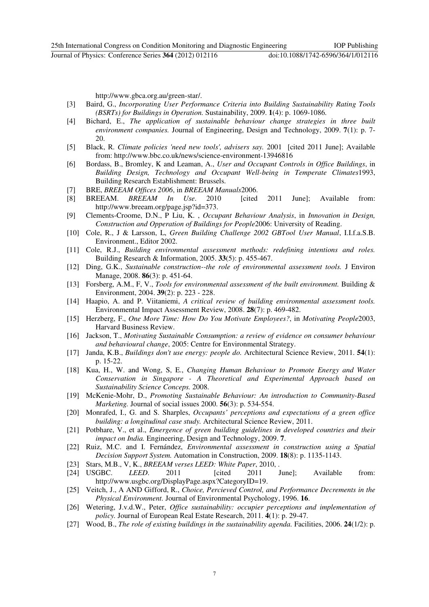http://www.gbca.org.au/green-star/.

- [3] Baird, G., *Incorporating User Performance Criteria into Building Sustainability Rating Tools (BSRTs) for Buildings in Operation.* Sustainability, 2009. **1**(4): p. 1069-1086.
- [4] Bichard, E., *The application of sustainable behaviour change strategies in three built environment companies.* Journal of Engineering, Design and Technology, 2009. **7**(1): p. 7- 20.
- [5] Black, R. *Climate policies 'need new tools', advisers say.* 2001 [cited 2011 June]; Available from: http://www.bbc.co.uk/news/science-environment-13946816
- [6] Bordass, B., Bromley, K and Leaman, A., *User and Occupant Controls in Office Buildings*, in *Building Design, Technology and Occupant Well-being in Temperate Climates*1993, Building Research Establishment: Brussels.
- [7] BRE, *BREEAM Offices 2006*, in *BREEAM Manuals*2006.
- [8] BREEAM. *BREEAM In Use*. 2010 [cited 2011 June]; Available from: http://www.breeam.org/page.jsp?id=373.
- [9] Clements-Croome, D.N., P Liu, K. , *Occupant Behaviour Analysis*, in *Innovation in Design, Construction and Opperation of Buildings for People*2006: University of Reading.
- [10] Cole, R., J & Larsson, L, *Green Building Challenge 2002 GBTool User Manual*, I.I.f.a.S.B. Environment., Editor 2002.
- [11] Cole, R.J., *Building environmental assessment methods: redefining intentions and roles.* Building Research & Information, 2005. **33**(5): p. 455-467.
- [12] Ding, G.K., *Sustainable construction--the role of environmental assessment tools.* J Environ Manage, 2008. **86**(3): p. 451-64.
- [13] Forsberg, A.M., F, V., *Tools for environmental assessment of the built environment.* Building & Environment, 2004. **39**(2): p. 223 - 228.
- [14] Haapio, A. and P. Viitaniemi, *A critical review of building environmental assessment tools.* Environmental Impact Assessment Review, 2008. **28**(7): p. 469-482.
- [15] Herzberg, F., *One More Time: How Do You Motivate Employees?*, in *Motivating People*2003, Harvard Business Review.
- [16] Jackson, T., *Motivating Sustainable Consumption: a review of evidence on consumer behaviour and behavioural change*, 2005: Centre for Environmental Strategy.
- [17] Janda, K.B., *Buildings don't use energy: people do.* Architectural Science Review, 2011. **54**(1): p. 15-22.
- [18] Kua, H., W. and Wong, S, E., *Changing Human Behaviour to Promote Energy and Water Conservation in Singapore - A Theoretical and Experimental Approach based on Sustainability Science Conceps.* 2008.
- [19] McKenie-Mohr, D., *Promoting Sustainable Behaviour: An introduction to Community-Based Marketing.* Journal of social issues 2000. **56**(3): p. 534-554.
- [20] Monrafed, I., G. and S. Sharples, *Occupants' perceptions and expectations of a green office building: a longitudinal case study.* Architectural Science Review, 2011.
- [21] Potbhare, V., et al., *Emergence of green building guidelines in developed countries and their impact on India.* Engineering, Design and Technology, 2009. **7**.
- [22] Ruiz, M.C. and I. Fernández, *Environmental assessment in construction using a Spatial Decision Support System.* Automation in Construction, 2009. **18**(8): p. 1135-1143.
- [23] Stars, M.B., V, K., *BREEAM verses LEED: White Paper*, 2010, .
- [24] USGBC. *LEED*. 2011 [cited 2011 June]; Available from: http://www.usgbc.org/DisplayPage.aspx?CategoryID=19.
- [25] Veitch, J., A AND Gifford, R., *Choice, Percieved Control, and Performance Decrements in the Physical Environment.* Journal of Environmental Psychology, 1996. **16**.
- [26] Wetering, J.v.d.W., Peter, *Office sustainability: occupier perceptions and implementation of policy.* Journal of European Real Estate Research, 2011. **4**(1): p. 29-47.
- [27] Wood, B., *The role of existing buildings in the sustainability agenda.* Facilities, 2006. **24**(1/2): p.